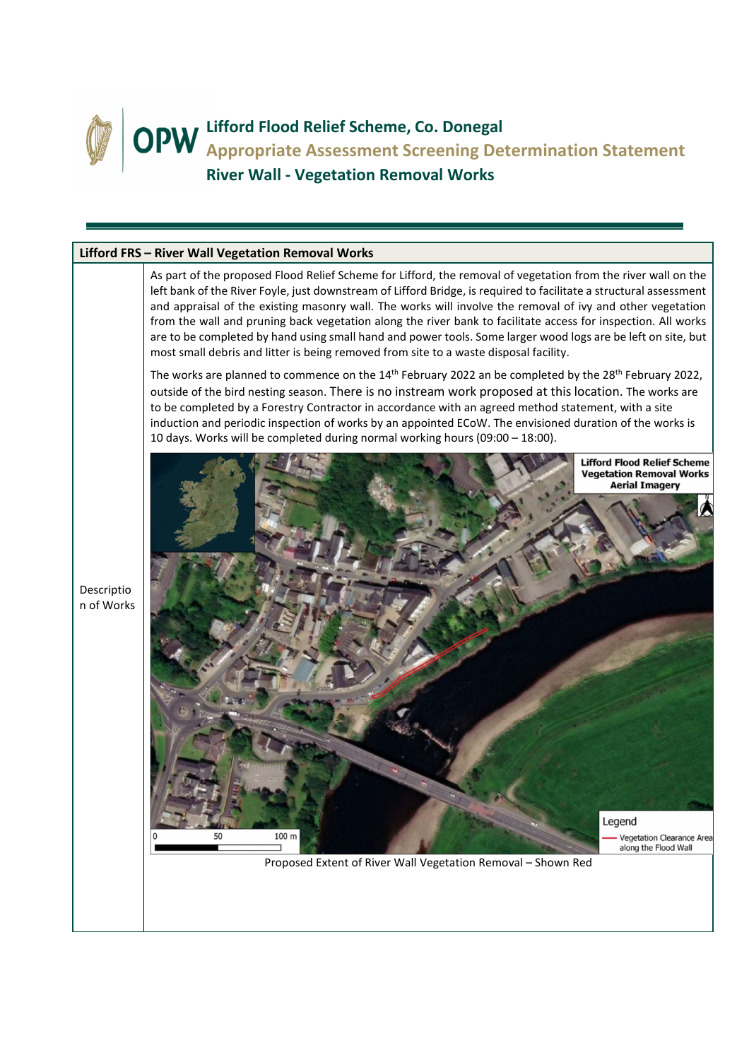